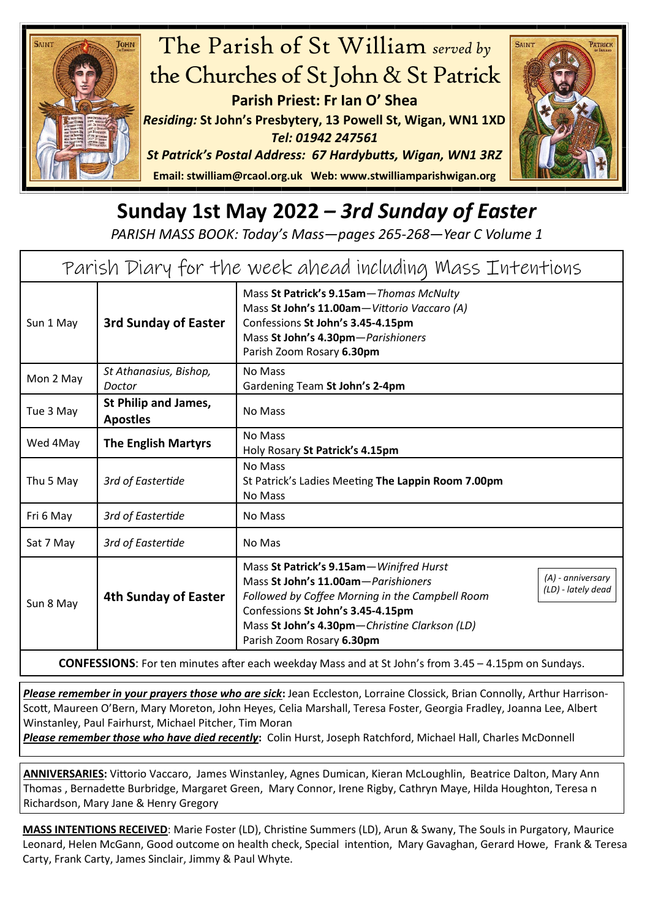

## **Sunday 1st May 2022** *– 3rd Sunday of Easter*

*PARISH MASS BOOK: Today's Mass—pages 265-268—Year C Volume 1*

| Parish Diary for the week ahead including Mass Intentions |                                                |                                                                                                                                                                                                                                                                                                 |
|-----------------------------------------------------------|------------------------------------------------|-------------------------------------------------------------------------------------------------------------------------------------------------------------------------------------------------------------------------------------------------------------------------------------------------|
| Sun 1 May                                                 | <b>3rd Sunday of Easter</b>                    | Mass St Patrick's 9.15am - Thomas McNulty<br>Mass St John's 11.00am-Vittorio Vaccaro (A)<br>Confessions St John's 3.45-4.15pm<br>Mass St John's 4.30pm-Parishioners<br>Parish Zoom Rosary 6.30pm                                                                                                |
| Mon 2 May                                                 | St Athanasius, Bishop,<br>Doctor               | No Mass<br>Gardening Team St John's 2-4pm                                                                                                                                                                                                                                                       |
| Tue 3 May                                                 | <b>St Philip and James,</b><br><b>Apostles</b> | No Mass                                                                                                                                                                                                                                                                                         |
| Wed 4May                                                  | <b>The English Martyrs</b>                     | No Mass<br>Holy Rosary St Patrick's 4.15pm                                                                                                                                                                                                                                                      |
| Thu 5 May                                                 | 3rd of Eastertide                              | No Mass<br>St Patrick's Ladies Meeting The Lappin Room 7.00pm<br>No Mass                                                                                                                                                                                                                        |
| Fri 6 May                                                 | 3rd of Eastertide                              | No Mass                                                                                                                                                                                                                                                                                         |
| Sat 7 May                                                 | 3rd of Eastertide                              | No Mas                                                                                                                                                                                                                                                                                          |
| Sun 8 May                                                 | 4th Sunday of Easter                           | Mass St Patrick's 9.15am-Winifred Hurst<br>(A) - anniversary<br>Mass St John's 11.00am-Parishioners<br>(LD) - lately dead<br>Followed by Coffee Morning in the Campbell Room<br>Confessions St John's 3.45-4.15pm<br>Mass St John's 4.30pm-Christine Clarkson (LD)<br>Parish Zoom Rosary 6.30pm |
|                                                           |                                                |                                                                                                                                                                                                                                                                                                 |

**CONFESSIONS**: For ten minutes after each weekday Mass and at St John's from 3.45 – 4.15pm on Sundays.

*Please remember in your prayers those who are sick***:** Jean Eccleston, Lorraine Clossick, Brian Connolly, Arthur Harrison-Scott, Maureen O'Bern, Mary Moreton, John Heyes, Celia Marshall, Teresa Foster, Georgia Fradley, Joanna Lee, Albert Winstanley, Paul Fairhurst, Michael Pitcher, Tim Moran

*Please remember those who have died recently***:** Colin Hurst, Joseph Ratchford, Michael Hall, Charles McDonnell

**ANNIVERSARIES:** Vittorio Vaccaro, James Winstanley, Agnes Dumican, Kieran McLoughlin, Beatrice Dalton, Mary Ann Thomas , Bernadette Burbridge, Margaret Green, Mary Connor, Irene Rigby, Cathryn Maye, Hilda Houghton, Teresa n Richardson, Mary Jane & Henry Gregory

**MASS INTENTIONS RECEIVED**: Marie Foster (LD), Christine Summers (LD), Arun & Swany, The Souls in Purgatory, Maurice Leonard, Helen McGann, Good outcome on health check, Special intention, Mary Gavaghan, Gerard Howe, Frank & Teresa Carty, Frank Carty, James Sinclair, Jimmy & Paul Whyte.